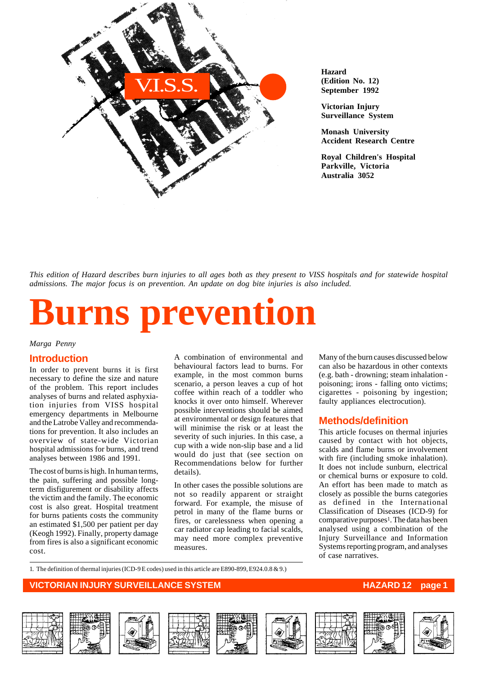

**Hazard (Edition No. 12) September 1992**

**Victorian Injury Surveillance System**

**Monash University Accident Research Centre**

**Royal Children's Hospital Parkville, Victoria Australia 3052**

*This edition of Hazard describes burn injuries to all ages both as they present to VISS hospitals and for statewide hospital admissions. The major focus is on prevention. An update on dog bite injuries is also included.*

# **Burns prevention**

*Marga Penny*

# **Introduction**

In order to prevent burns it is first necessary to define the size and nature of the problem. This report includes analyses of burns and related asphyxiation injuries from VISS hospital emergency departments in Melbourne and the Latrobe Valley and recommendations for prevention. It also includes an overview of state-wide Victorian hospital admissions for burns, and trend analyses between 1986 and 1991.

The cost of burns is high. In human terms, the pain, suffering and possible longterm disfigurement or disability affects the victim and the family. The economic cost is also great. Hospital treatment for burns patients costs the community an estimated \$1,500 per patient per day (Keogh 1992). Finally, property damage from fires is also a significant economic cost.

A combination of environmental and behavioural factors lead to burns. For example, in the most common burns scenario, a person leaves a cup of hot coffee within reach of a toddler who knocks it over onto himself. Wherever possible interventions should be aimed at environmental or design features that will minimise the risk or at least the severity of such injuries. In this case, a cup with a wide non-slip base and a lid would do just that (see section on Recommendations below for further details).

In other cases the possible solutions are not so readily apparent or straight forward. For example, the misuse of petrol in many of the flame burns or fires, or carelessness when opening a car radiator cap leading to facial scalds, may need more complex preventive measures.

Many of the burn causes discussed below can also be hazardous in other contexts (e.g. bath - drowning; steam inhalation poisoning; irons - falling onto victims; cigarettes - poisoning by ingestion; faulty appliances electrocution).

## **Methods/definition**

This article focuses on thermal injuries caused by contact with hot objects, scalds and flame burns or involvement with fire (including smoke inhalation). It does not include sunburn, electrical or chemical burns or exposure to cold. An effort has been made to match as closely as possible the burns categories as defined in the International Classification of Diseases (ICD-9) for comparative purposes<sup>1</sup>. The data has been analysed using a combination of the Injury Surveillance and Information Systems reporting program, and analyses of case narratives.

1. The definition of thermal injuries (ICD-9 E codes) used in this article are E890-899, E924.0.8 & 9.)

# **VICTORIAN INJURY SURVEILLANCE SYSTEM AND REALLY CONSUMING THE HAZARD 12 page 1**















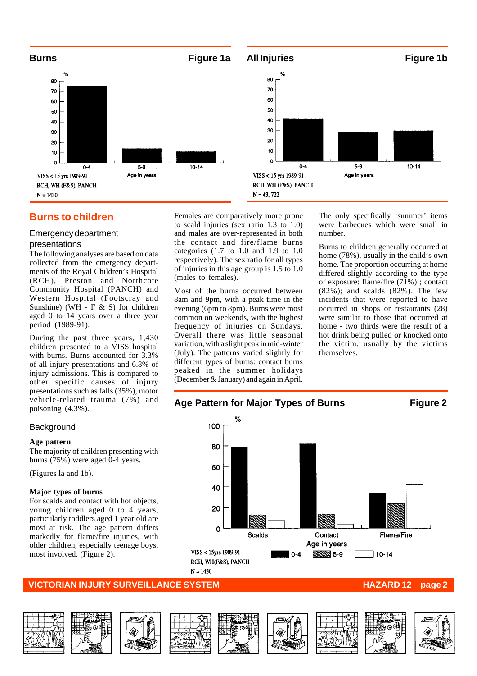

# **Burns to children**

#### Emergency department presentations

The following analyses are based on data collected from the emergency departments of the Royal Children's Hospital (RCH), Preston and Northcote Community Hospital (PANCH) and Western Hospital (Footscray and Sunshine) (WH - F & S) for children aged 0 to 14 years over a three year period (1989-91).

During the past three years, 1,430 children presented to a VISS hospital with burns. Burns accounted for 3.3% of all injury presentations and 6.8% of injury admissions. This is compared to other specific causes of injury presentations such as falls (35%), motor vehicle-related trauma (7%) and poisoning (4.3%).

#### **Background**

#### **Age pattern**

The majority of children presenting with burns (75%) were aged 0-4 years.

(Figures la and 1b).

#### **Major types of burns**

For scalds and contact with hot objects, young children aged 0 to 4 years, particularly toddlers aged 1 year old are most at risk. The age pattern differs markedly for flame/fire injuries, with older children, especially teenage boys, most involved. (Figure 2).

Females are comparatively more prone to scald injuries (sex ratio 1.3 to 1.0) and males are over-represented in both the contact and fire/flame burns categories  $(1.7 \text{ to } 1.0 \text{ and } 1.9 \text{ to } 1.0)$ respectively). The sex ratio for all types of injuries in this age group is 1.5 to 1.0 (males to females).

Most of the burns occurred between 8am and 9pm, with a peak time in the evening (6pm to 8pm). Burns were most common on weekends, with the highest frequency of injuries on Sundays. Overall there was little seasonal variation, with a slight peak in mid-winter (July). The patterns varied slightly for different types of burns: contact burns peaked in the summer holidays (December & January) and again in April.

The only specifically 'summer' items were barbecues which were small in number.

Burns to children generally occurred at home (78%), usually in the child's own home. The proportion occurring at home differed slightly according to the type of exposure: flame/fire (71%) ; contact (82%); and scalds (82%). The few incidents that were reported to have occurred in shops or restaurants (28) were similar to those that occurred at home - two thirds were the result of a hot drink being pulled or knocked onto the victim, usually by the victims themselves.















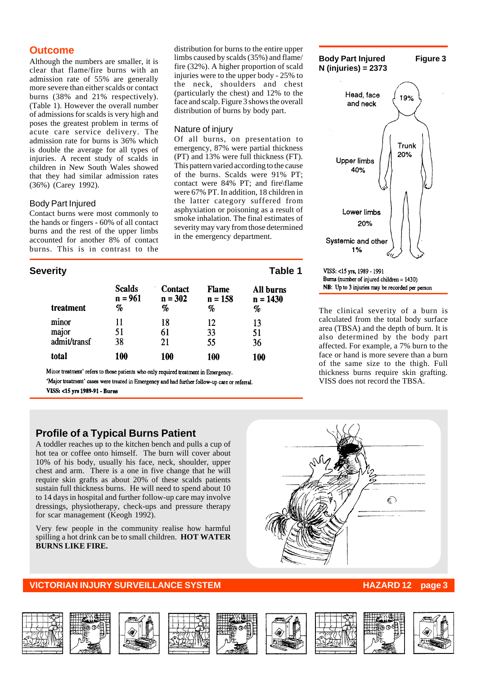# **Outcome**

Although the numbers are smaller, it is clear that flame/fire burns with an admission rate of 55% are generally more severe than either scalds or contact burns (38% and 21% respectively). (Table 1). However the overall number of admissions for scalds is very high and poses the greatest problem in terms of acute care service delivery. The admission rate for burns is 36% which is double the average for all types of injuries. A recent study of scalds in children in New South Wales showed that they had similar admission rates (36%) (Carey 1992).

## Body Part Injured

Contact burns were most commonly to the hands or fingers - 60% of all contact burns and the rest of the upper limbs accounted for another 8% of contact burns. This is in contrast to the

# **Severity** Table 1

| treatment    | <b>Scalds</b> | <b>Contact</b> | <b>Flame</b> | All burns  |
|--------------|---------------|----------------|--------------|------------|
|              | $n = 961$     | $n = 302$      | $n = 158$    | $n = 1430$ |
|              | %             | %              | %            | %          |
| minor        | 11            | 18             | 12           | 13         |
| major        | 51            | 61             | 33           | 51         |
| admit/transf | 38            | 21             | 55           | 36         |
| total        | 100           | 100            | 100          | 100        |

distribution of burns by body part.

in the emergency department.

Nature of injury

Minor treatment' refers to those patients who only required treatment in Emergency.

'Major treatment' cases were treated in Emergency and had further follow-up care or referral. VISS: <15 yrs 1989-91 - Burns

# **Profile of a Typical Burns Patient**

A toddler reaches up to the kitchen bench and pulls a cup of hot tea or coffee onto himself. The burn will cover about 10% of his body, usually his face, neck, shoulder, upper chest and arm. There is a one in five change that he will require skin grafts as about 20% of these scalds patients sustain full thickness burns. He will need to spend about 10 to 14 days in hospital and further follow-up care may involve dressings, physiotherapy, check-ups and pressure therapy for scar management (Keogh 1992).

Very few people in the community realise how harmful spilling a hot drink can be to small children. **HOT WATER BURNS LIKE FIRE.**

# **VICTORIAN INJURY SURVEILLANCE SYSTEM HAZARD 12 page 3**



#### VISS: <15 yrs, 1989 - 1991 Burns (number of injured children  $= 1430$ ) NB: Up to 3 injuries may be recorded per person

The clinical severity of a burn is calculated from the total body surface area (TBSA) and the depth of burn. It is also determined by the body part affected. For example, a 7% burn to the face or hand is more severe than a burn of the same size to the thigh. Full thickness burns require skin grafting. VISS does not record the TBSA.

















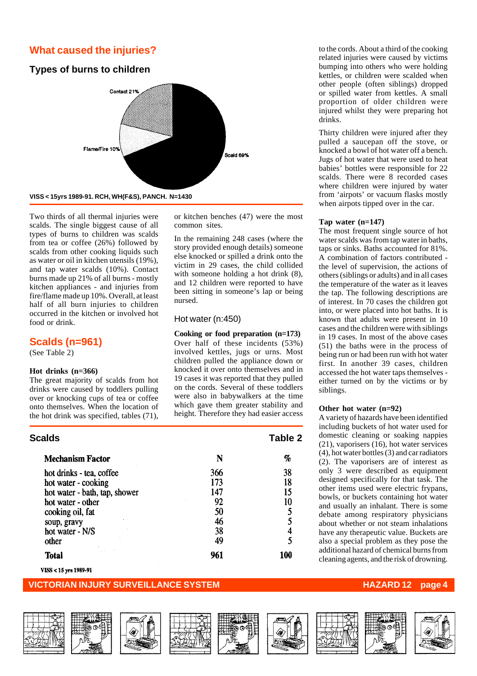# **What caused the injuries?**

# **Types of burns to children**



Two thirds of all thermal injuries were scalds. The single biggest cause of all types of burns to children was scalds from tea or coffee (26%) followed by scalds from other cooking liquids such as water or oil in kitchen utensils (19%), and tap water scalds (10%). Contact burns made up 21% of all burns - mostly kitchen appliances - and injuries from fire/flame made up 10%. Overall, at least half of all burn injuries to children occurred in the kitchen or involved hot food or drink.

# **Scalds (n=961)**

(See Table 2)

#### **Hot drinks (n=366)**

The great majority of scalds from hot drinks were caused by toddlers pulling over or knocking cups of tea or coffee onto themselves. When the location of the hot drink was specified, tables (71),

or kitchen benches (47) were the most common sites.

In the remaining 248 cases (where the story provided enough details) someone else knocked or spilled a drink onto the victim in 29 cases, the child collided with someone holding a hot drink (8), and 12 children were reported to have been sitting in someone's lap or being nursed.

#### Hot water (n:450)

**Cooking or food preparation (n=173)** Over half of these incidents (53%) involved kettles, jugs or urns. Most children pulled the appliance down or knocked it over onto themselves and in 19 cases it was reported that they pulled on the cords. Several of these toddlers were also in babywalkers at the time which gave them greater stability and height. Therefore they had easier access

| Scalds                        |     | Table 2 |  |
|-------------------------------|-----|---------|--|
| <b>Mechanism Factor</b>       | N   | $\%$    |  |
| hot drinks - tea, coffee      | 366 | 38      |  |
| hot water - cooking           | 173 | 18      |  |
| hot water - bath, tap, shower | 147 | 15      |  |
| hot water - other             | 92  | 10      |  |
| cooking oil, fat              | 50  |         |  |
| soup, gravy                   | 46  | 5       |  |
| hot water - N/S               | 38  |         |  |
| other                         | 49  | 5       |  |
| Total                         | 961 | 100     |  |

VISS < 15 yrs 1989-91

## **VICTORIAN INJURY SURVEILLANCE SYSTEM HAZARD 12 page 4**

















to the cords. About a third of the cooking related injuries were caused by victims bumping into others who were holding kettles, or children were scalded when other people (often siblings) dropped or spilled water from kettles. A small proportion of older children were injured whilst they were preparing hot drinks.

Thirty children were injured after they pulled a saucepan off the stove, or knocked a bowl of hot water off a bench. Jugs of hot water that were used to heat babies' bottles were responsible for 22 scalds. There were 8 recorded cases where children were injured by water from 'airpots' or vacuum flasks mostly when airpots tipped over in the car.

#### **Tap water (n=147)**

The most frequent single source of hot water scalds was from tap water in baths, taps or sinks. Baths accounted for 81%. A combination of factors contributed the level of supervision, the actions of others (siblings or adults) and in all cases the temperature of the water as it leaves the tap. The following descriptions are of interest. In 70 cases the children got into, or were placed into hot baths. It is known that adults were present in 10 cases and the children were with siblings in 19 cases. In most of the above cases (51) the baths were in the process of being run or had been run with hot water first. In another 39 cases, children accessed the hot water taps themselves either turned on by the victims or by siblings.

#### **Other hot water (n=92)**

A variety of hazards have been identified including buckets of hot water used for domestic cleaning or soaking nappies (21), vaporisers (16), hot water services (4), hot water bottles (3) and car radiators (2). The vaporisers are of interest as only 3 were described as equipment designed specifically for that task. The other items used were electric frypans, bowls, or buckets containing hot water and usually an inhalant. There is some debate among respiratory physicians about whether or not steam inhalations have any therapeutic value. Buckets are also a special problem as they pose the additional hazard of chemical burns from cleaning agents, and the risk of drowning.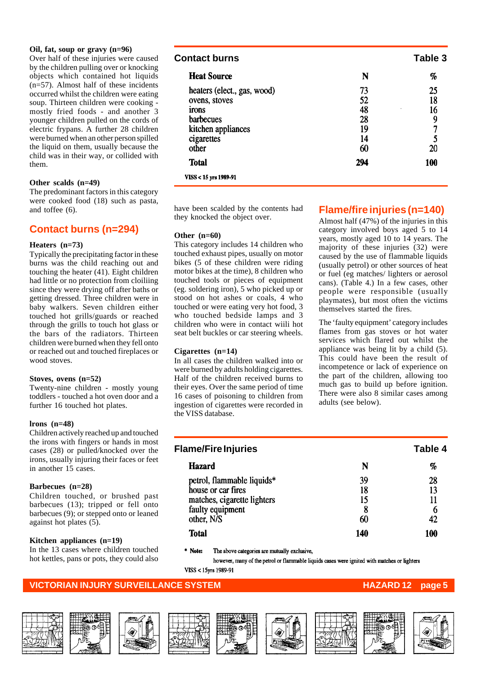#### **Oil, fat, soup or gravy (n=96)**

Over half of these injuries were caused by the children pulling over or knocking objects which contained hot liquids (n=57). Almost half of these incidents occurred whilst the children were eating soup. Thirteen children were cooking mostly fried foods - and another 3 younger children pulled on the cords of electric frypans. A further 28 children were burned when an other person spilled the liquid on them, usually because the child was in their way, or collided with them.

#### **Other scalds (n=49)**

The predominant factors in this category were cooked food (18) such as pasta, and toffee (6).

# **Contact burns (n=294)**

#### **Heaters (n=73)**

Typically the precipitating factor in these burns was the child reaching out and touching the heater (41). Eight children had little or no protection from cloiliing since they were drying off after baths or getting dressed. Three children were in baby walkers. Seven children either touched hot grills/guards or reached through the grills to touch hot glass or the bars of the radiators. Thirteen children were burned when they fell onto or reached out and touched fireplaces or wood stoves.

#### **Stoves, ovens (n=52)**

Twenty-nine children - mostly young toddlers - touched a hot oven door and a further 16 touched hot plates.

#### **lrons (n=48)**

Children actively reached up and touched the irons with fingers or hands in most cases (28) or pulled/knocked over the irons, usually injuring their faces or feet in another 15 cases.

#### **Barbecues (n=28)**

Children touched, or brushed past barbecues (13); tripped or fell onto barbecues (9); or stepped onto or leaned against hot plates (5).

#### **Kitchen appliances (n=19)**

In the 13 cases where children touched hot kettles, pans or pots, they could also

| Contact burns               |     | Table 3 |
|-----------------------------|-----|---------|
| <b>Heat Source</b>          | N   | %       |
| heaters (elect., gas, wood) | 73  | 25      |
| ovens, stoves               | 52  | 18      |
| irons                       | 48  | 16<br>٠ |
| barbecues                   | 28  | 9       |
| kitchen appliances          | 19  | 7       |
| cigarettes                  | 14  | 5       |
| other                       | 60  | 20      |
| <b>Total</b>                | 294 | 100     |

VISS < 15 yrs 1989-91

have been scalded by the contents had they knocked the object over.

#### **Other (n=60)**

This category includes 14 children who touched exhaust pipes, usually on motor bikes (5 of these children were riding motor bikes at the time), 8 children who touched tools or pieces of equipment (eg. soldering iron), 5 who picked up or stood on hot ashes or coals, 4 who touched or were eating very hot food, 3 who touched bedside lamps and 3 children who were in contact wiili hot seat belt buckles or car steering wheels.

#### **Cigarettes (n=14)**

In all cases the children walked into or were burned by adults holding cigarettes. Half of the children received burns to their eyes. Over the same period of time 16 cases of poisoning to children from ingestion of cigarettes were recorded in the VISS database.

# **Flame/fire injuries (n=140)**

Almost half (47%) of the injuries in this category involved boys aged 5 to 14 years, mostly aged 10 to 14 years. The majority of these injuries (32) were caused by the use of flammable liquids (usually petrol) or other sources of heat or fuel (eg matches/ lighters or aerosol cans). (Table 4.) In a few cases, other people were responsible (usually playmates), but most often the victims themselves started the fires.

The 'faulty equipment' category includes flames from gas stoves or hot water services which flared out whilst the appliance was being lit by a child (5). This could have been the result of incompetence or lack of experience on the part of the children, allowing too much gas to build up before ignition. There were also 8 similar cases among adults (see below).

| <b>Flame/Fire Injuries</b>  |     | Table 4 |
|-----------------------------|-----|---------|
| <b>Hazard</b>               | N   | %       |
| petrol, flammable liquids*  | 39  | 28      |
| house or car fires          | 18  | 13      |
| matches, cigarette lighters | 15  |         |
| faulty equipment            | 8   | 6       |
| other, N/S                  | 60  | 42      |
| Total                       | 140 | 1M      |

\* Notes The above categories are mutually exclusive,

however, many of the petrol or flammable liquids cases were ignited with matches or lighters VISS < 15yrs 1989-91

### **VICTORIAN INJURY SURVEILLANCE SYSTEM AND REALLY CONTROLLY AND HAZARD 12 page**













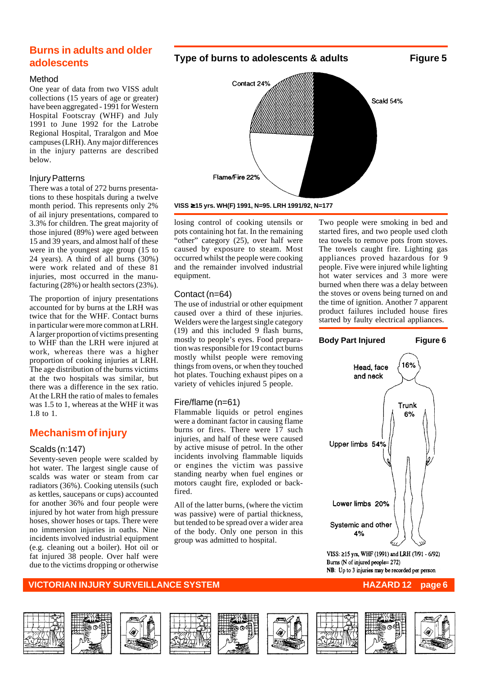# **Burns in adults and older adolescents**

#### Method

One year of data from two VISS adult collections (15 years of age or greater) have been aggregated - 1991 for Western Hospital Footscray (WHF) and July 1991 to June 1992 for the Latrobe Regional Hospital, Traralgon and Moe campuses (LRH). Any major differences in the injury patterns are described below.

## Injury Patterns

There was a total of 272 burns presentations to these hospitals during a twelve month period. This represents only 2% of ail injury presentations, compared to 3.3% for children. The great majority of those injured (89%) were aged between 15 and 39 years, and almost half of these were in the youngest age group (15 to 24 years). A third of all burns (30%) were work related and of these 81 injuries, most occurred in the manufacturing (28%) or health sectors (23%).

The proportion of injury presentations accounted for by burns at the LRH was twice that for the WHF. Contact burns in particular were more common at LRH. A larger proportion of victims presenting to WHF than the LRH were injured at work, whereas there was a higher proportion of cooking injuries at LRH. The age distribution of the burns victims at the two hospitals was similar, but there was a difference in the sex ratio. At the LRH the ratio of males to females was 1.5 to 1, whereas at the WHF it was  $1.8 \text{ to } 1.$ 

# **Mechanism of injury**

### Scalds (n:147)

Seventy-seven people were scalded by hot water. The largest single cause of scalds was water or steam from car radiators (36%). Cooking utensils (such as kettles, saucepans or cups) accounted for another 36% and four people were injured by hot water from high pressure hoses, shower hoses or taps. There were no immersion injuries in oaths. Nine incidents involved industrial equipment (e.g. cleaning out a boiler). Hot oil or fat injured 38 people. Over half were due to the victims dropping or otherwise



**VISS** ≥ **15 yrs. WH(F) 1991, N=95. LRH 1991/92, N=177**

losing control of cooking utensils or pots containing hot fat. In the remaining "other" category (25), over half were caused by exposure to steam. Most occurred whilst the people were cooking and the remainder involved industrial equipment.

# Contact (n=64)

The use of industrial or other equipment caused over a third of these injuries. Welders were the largest single category (19) and this included 9 flash burns, mostly to people's eyes. Food preparation was responsible for 19 contact burns mostly whilst people were removing things from ovens, or when they touched hot plates. Touching exhaust pipes on a variety of vehicles injured 5 people.

# Fire/flame (n=61)

Flammable liquids or petrol engines were a dominant factor in causing flame burns or fires. There were 17 such injuries, and half of these were caused by active misuse of petrol. In the other incidents involving flammable liquids or engines the victim was passive standing nearby when fuel engines or motors caught fire, exploded or backfired.

All of the latter burns, (where the victim was passive) were of partial thickness, but tended to be spread over a wider area of the body. Only one person in this group was admitted to hospital.

Two people were smoking in bed and started fires, and two people used cloth tea towels to remove pots from stoves. The towels caught fire. Lighting gas appliances proved hazardous for 9 people. Five were injured while lighting hot water services and 3 more were burned when there was a delay between the stoves or ovens being turned on and the time of ignition. Another 7 apparent product failures included house fires started by faulty electrical appliances.

# **Body Part Injured Figure 6** 16% Head, face and neck Trunk 6% Upper limbs 54% Lower limbs 20% Systemic and other 4%

VISS: ≥15 yrs, WHF (1991) and LRH (7/91 - 6/92) Burns (N of injured people= 272) NB: Up to 3 injuries may be recorded per person















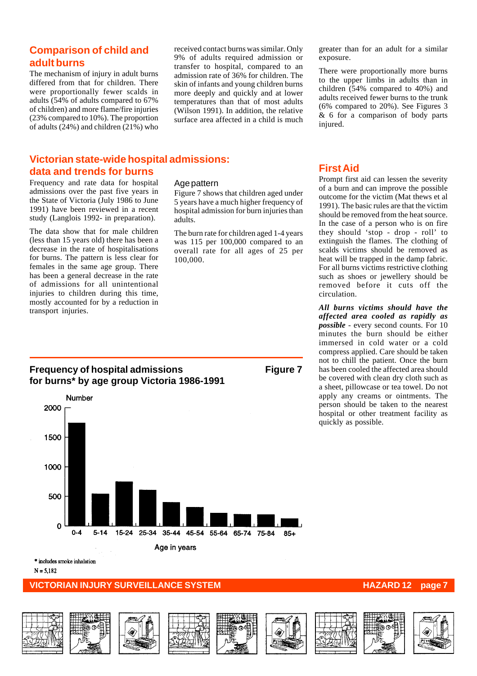# **Comparison of child and adult burns**

The mechanism of injury in adult burns differed from that for children. There were proportionally fewer scalds in adults (54% of adults compared to 67% of children) and more flame/fire injuries (23% compared to 10%). The proportion of adults  $(24%)$  and children  $(21%)$  who received contact burns was similar. Only 9% of adults required admission or transfer to hospital, compared to an admission rate of 36% for children. The skin of infants and young children burns more deeply and quickly and at lower temperatures than that of most adults (Wilson 1991). In addition, the relative surface area affected in a child is much

#### greater than for an adult for a similar exposure.

There were proportionally more burns to the upper limbs in adults than in children (54% compared to 40%) and adults received fewer burns to the trunk (6% compared to 20%). See Figures 3 & 6 for a comparison of body parts injured.

# **Victorian state-wide hospital admissions: data and trends for burns**

Frequency and rate data for hospital admissions over the past five years in the State of Victoria (July 1986 to June 1991) have been reviewed in a recent study (Langlois 1992- in preparation).

The data show that for male children (less than 15 years old) there has been a decrease in the rate of hospitalisations for burns. The pattern is less clear for females in the same age group. There has been a general decrease in the rate of admissions for all unintentional injuries to children during this time, mostly accounted for by a reduction in transport injuries.

## Age pattern

Figure 7 shows that children aged under 5 years have a much higher frequency of hospital admission for burn injuries than adults.

The burn rate for children aged 1-4 years was 115 per 100,000 compared to an overall rate for all ages of 25 per 100,000.

# **First Aid**

Prompt first aid can lessen the severity of a burn and can improve the possible outcome for the victim (Mat thews et al 1991). The basic rules are that the victim should be removed from the heat source. In the case of a person who is on fire they should 'stop - drop - roll' to extinguish the flames. The clothing of scalds victims should be removed as heat will be trapped in the damp fabric. For all burns victims restrictive clothing such as shoes or jewellery should be removed before it cuts off the circulation.

*All burns victims should have the affected area cooled as rapidly as possible* - every second counts. For 10 minutes the burn should be either immersed in cold water or a cold compress applied. Care should be taken not to chill the patient. Once the burn has been cooled the affected area should be covered with clean dry cloth such as a sheet, pillowcase or tea towel. Do not apply any creams or ointments. The person should be taken to the nearest hospital or other treatment facility as quickly as possible.

# **Frequency of hospital admissions Figure 7 for burns\* by age group Victoria 1986-1991**



\* includes smoke inhalation

 $N = 5.182$ 

# **VICTORIAN INJURY SURVEILLANCE SYSTEM AND REALLY CONTROLLY CONTROLLY AND REALLY CONTROLLY PAGE**

















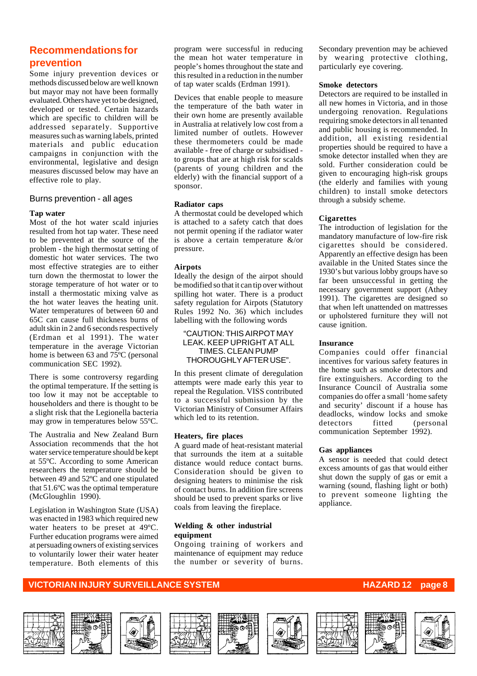# **Recommendations for prevention**

Some injury prevention devices or methods discussed below are well known but mayor may not have been formally evaluated. Others have yet to be designed, developed or tested. Certain hazards which are specific to children will be addressed separately. Supportive measures such as warning labels, printed materials and public education campaigns in conjunction with the environmental, legislative and design measures discussed below may have an effective role to play.

#### Burns prevention - all ages

#### **Tap water**

Most of the hot water scald injuries resulted from hot tap water. These need to be prevented at the source of the problem - the high thermostat setting of domestic hot water services. The two most effective strategies are to either turn down the thermostat to lower the storage temperature of hot water or to install a thermostatic mixing valve as the hot water leaves the heating unit. Water temperatures of between 60 and 65C can cause full thickness burns of adult skin in 2 and 6 seconds respectively (Erdman et al 1991). The water temperature in the average Victorian home is between 63 and 75ºC (personal communication SEC 1992).

There is some controversy regarding the optimal temperature. If the setting is too low it may not be acceptable to householders and there is thought to be a slight risk that the Legionella bacteria may grow in temperatures below 55ºC.

The Australia and New Zealand Burn Association recommends that the hot water service temperature should be kept at 55ºC. According to some American researchers the temperature should be between 49 and 52ºC and one stipulated that 51.6ºC was the optimal temperature (McGloughlin 1990).

Legislation in Washington State (USA) was enacted in 1983 which required new water heaters to be preset at 49ºC. Further education programs were aimed at persuading owners of existing services to voluntarily lower their water heater temperature. Both elements of this program were successful in reducing the mean hot water temperature in people's homes throughout the state and this resulted in a reduction in the number of tap water scalds (Erdman 1991).

Devices that enable people to measure the temperature of the bath water in their own home are presently available in Australia at relatively low cost from a limited number of outlets. However these thermometers could be made available - free of charge or subsidised to groups that are at high risk for scalds (parents of young children and the elderly) with the financial support of a sponsor.

#### **Radiator caps**

A thermostat could be developed which is attached to a safety catch that does not permit opening if the radiator water is above a certain temperature &/or pressure.

#### **Airpots**

Ideally the design of the airpot should be modified so that it can tip over without spilling hot water. There is a product safety regulation for Airpots (Statutory Rules 1992 No. 36) which includes labelling with the following words

#### "CAUTION: THIS AIRPOT MAY LEAK. KEEP UPRIGHT AT ALL TIMES. CLEAN PUMP THOROUGHLY AFTER USE".

In this present climate of deregulation attempts were made early this year to repeal the Regulation. VISS contributed to a successful submission by the Victorian Ministry of Consumer Affairs which led to its retention.

#### **Heaters, fire places**

A guard made of heat-resistant material that surrounds the item at a suitable distance would reduce contact burns. Consideration should be given to designing heaters to minimise the risk of contact burns. In addition fire screens should be used to prevent sparks or live coals from leaving the fireplace.

#### **Welding & other industrial equipment**

Ongoing training of workers and maintenance of equipment may reduce the number or severity of burns.

Secondary prevention may be achieved by wearing protective clothing, particularly eye covering.

#### **Smoke detectors**

Detectors are required to be installed in all new homes in Victoria, and in those undergoing renovation. Regulations requiring smoke detectors in all tenanted and public housing is recommended. In addition, all existing residential properties should be required to have a smoke detector installed when they are sold. Further consideration could be given to encouraging high-risk groups (the elderly and families with young children) to install smoke detectors through a subsidy scheme.

#### **Cigarettes**

The introduction of legislation for the mandatory manufacture of low-fire risk cigarettes should be considered. Apparently an effective design has been available in the United States since the 1930's but various lobby groups have so far been unsuccessful in getting the necessary government support (Athey 1991). The cigarettes are designed so that when left unattended on mattresses or upholstered furniture they will not cause ignition.

#### **Insurance**

Companies could offer financial incentives for various safety features in the home such as smoke detectors and fire extinguishers. According to the Insurance Council of Australia some companies do offer a small 'home safety and security' discount if a house has deadlocks, window locks and smoke detectors fitted (personal communication September 1992).

#### **Gas appliances**

A sensor is needed that could detect excess amounts of gas that would either shut down the supply of gas or emit a warning (sound, flashing light or both) to prevent someone lighting the appliance.













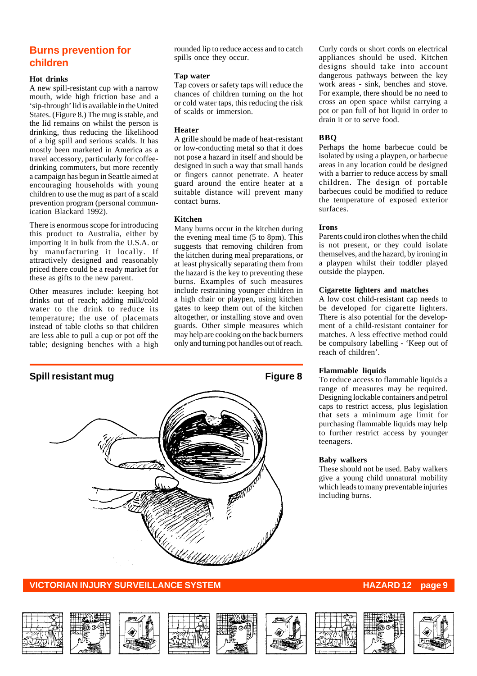# **Burns prevention for children**

#### **Hot drinks**

A new spill-resistant cup with a narrow mouth, wide high friction base and a 'sip-through' lid is available in the United States. (Figure 8.) The mug is stable, and the lid remains on whilst the person is drinking, thus reducing the likelihood of a big spill and serious scalds. It has mostly been marketed in America as a travel accessory, particularly for coffeedrinking commuters, but more recently a campaign has begun in Seattle aimed at encouraging households with young children to use the mug as part of a scald prevention program (personal communication Blackard 1992).

There is enormous scope for introducing this product to Australia, either by importing it in bulk from the U.S.A. or by manufacturing it locally. If attractively designed and reasonably priced there could be a ready market for these as gifts to the new parent.

Other measures include: keeping hot drinks out of reach; adding milk/cold water to the drink to reduce its temperature; the use of placemats instead of table cloths so that children are less able to pull a cup or pot off the table; designing benches with a high rounded lip to reduce access and to catch spills once they occur.

#### **Tap water**

Tap covers or safety taps will reduce the chances of children turning on the hot or cold water taps, this reducing the risk of scalds or immersion.

#### **Heater**

A grille should be made of heat-resistant or low-conducting metal so that it does not pose a hazard in itself and should be designed in such a way that small hands or fingers cannot penetrate. A heater guard around the entire heater at a suitable distance will prevent many contact burns.

#### **Kitchen**

Many burns occur in the kitchen during the evening meal time (5 to 8pm). This suggests that removing children from the kitchen during meal preparations, or at least physically separating them from the hazard is the key to preventing these burns. Examples of such measures include restraining younger children in a high chair or playpen, using kitchen gates to keep them out of the kitchen altogether, or installing stove and oven guards. Other simple measures which may help are cooking on the back burners only and turning pot handles out of reach.





### **VICTORIAN INJURY SURVEILLANCE SYSTEM HAZARD 12 page 9**

Curly cords or short cords on electrical appliances should be used. Kitchen designs should take into account dangerous pathways between the key work areas - sink, benches and stove. For example, there should be no need to cross an open space whilst carrying a pot or pan full of hot liquid in order to drain it or to serve food.

#### **BBQ**

Perhaps the home barbecue could be isolated by using a playpen, or barbecue areas in any location could be designed with a barrier to reduce access by small children. The design of portable barbecues could be modified to reduce the temperature of exposed exterior surfaces.

#### **Irons**

Parents could iron clothes when the child is not present, or they could isolate themselves, and the hazard, by ironing in a playpen whilst their toddler played outside the playpen.

#### **Cigarette lighters and matches**

A low cost child-resistant cap needs to be developed for cigarette lighters. There is also potential for the development of a child-resistant container for matches. A less effective method could be compulsory labelling - 'Keep out of reach of children'.

#### **Flammable liquids**

To reduce access to flammable liquids a range of measures may be required. Designing lockable containers and petrol caps to restrict access, plus legislation that sets a minimum age limit for purchasing flammable liquids may help to further restrict access by younger teenagers.

#### **Baby walkers**

These should not be used. Baby walkers give a young child unnatural mobility which leads to many preventable injuries including burns.



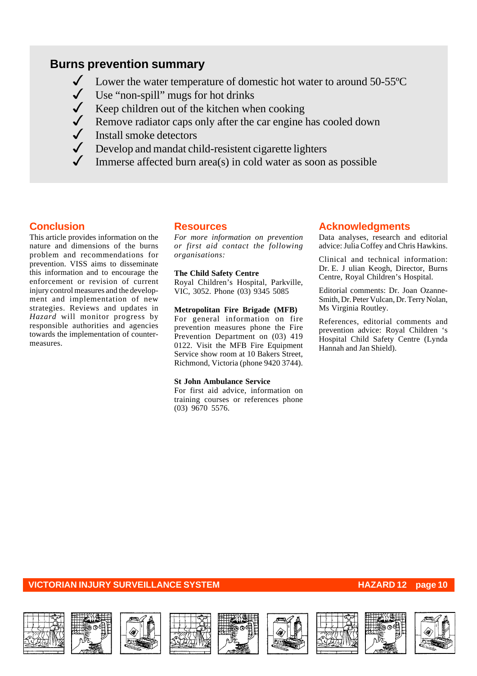# **Burns prevention summary**

- $\checkmark$  Lower the water temperature of domestic hot water to around 50-55 $\degree$ C
- Use "non-spill" mugs for hot drinks
- $\checkmark$  Keep children out of the kitchen when cooking
- ◆ Remove radiator caps only after the car engine has cooled down
- $\sqrt{\phantom{a}}$  Install smoke detectors
- Develop and mandat child-resistent cigarette lighters
- Immerse affected burn area(s) in cold water as soon as possible

# **Conclusion**

This article provides information on the nature and dimensions of the burns problem and recommendations for prevention. VISS aims to disseminate this information and to encourage the enforcement or revision of current injury control measures and the development and implementation of new strategies. Reviews and updates in *Hazard* will monitor progress by responsible authorities and agencies towards the implementation of countermeasures.

### **Resources**

*For more information on prevention or first aid contact the following organisations:*

#### **The Child Safety Centre**

Royal Children's Hospital, Parkville, VIC, 3052. Phone (03) 9345 5085

#### **Metropolitan Fire Brigade (MFB)**

For general information on fire prevention measures phone the Fire Prevention Department on  $(03)$  419 0122. Visit the MFB Fire Equipment Service show room at 10 Bakers Street, Richmond, Victoria (phone 9420 3744).

#### **St John Ambulance Service**

For first aid advice, information on training courses or references phone (03) 9670 5576.

## **Acknowledgments**

Data analyses, research and editorial advice: Julia Coffey and Chris Hawkins.

Clinical and technical information: Dr. E. J ulian Keogh, Director, Burns Centre, Royal Children's Hospital.

Editorial comments: Dr. Joan Ozanne-Smith, Dr. Peter Vulcan, Dr. Terry Nolan, Ms Virginia Routley.

References, editorial comments and prevention advice: Royal Children 's Hospital Child Safety Centre (Lynda Hannah and Jan Shield).

















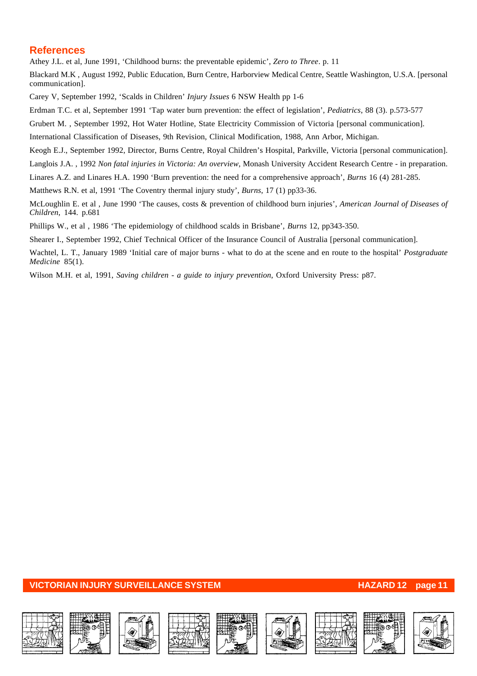# **References**

Athey J.L. et al, June 1991, 'Childhood burns: the preventable epidemic', *Zero to Three*. p. 11

Blackard M.K , August 1992, Public Education, Burn Centre, Harborview Medical Centre, Seattle Washington, U.S.A. [personal communication].

Carey V, September 1992, 'Scalds in Children' *Injury Issues* 6 NSW Health pp 1-6

Erdman T.C. et al, September 1991 'Tap water burn prevention: the effect of legislation', *Pediatrics*, 88 (3). p.573-577

Grubert M. , September 1992, Hot Water Hotline, State Electricity Commission of Victoria [personal communication].

International Classification of Diseases, 9th Revision, Clinical Modification, 1988, Ann Arbor, Michigan.

Keogh E.J., September 1992, Director, Burns Centre, Royal Children's Hospital, Parkville, Victoria [personal communication].

Langlois J.A. , 1992 *Non fatal injuries in Victoria: An overview*, Monash University Accident Research Centre - in preparation.

Linares A.Z. and Linares H.A. 1990 'Burn prevention: the need for a comprehensive approach', *Burns* 16 (4) 281-285.

Matthews R.N. et al, 1991 'The Coventry thermal injury study', *Burns*, 17 (1) pp33-36.

McLoughlin E. et al , June 1990 'The causes, costs & prevention of childhood burn injuries', *American Journal of Diseases of Children*, 144. p.681

Phillips W., et al , 1986 'The epidemiology of childhood scalds in Brisbane', *Burns* 12, pp343-350.

Shearer I., September 1992, Chief Technical Officer of the Insurance Council of Australia [personal communication].

Wachtel, L. T., January 1989 'Initial care of major burns - what to do at the scene and en route to the hospital' *Postgraduate Medicine* 85(1).

Wilson M.H. et al, 1991, *Saving children - a guide to injury prevention*, Oxford University Press: p87.

## **VICTORIAN INJURY SURVEILLANCE SYSTEM AND REALLY CONTROLLY AND REALLY AND REALLY CONTROLLY AND PAGE 11**

















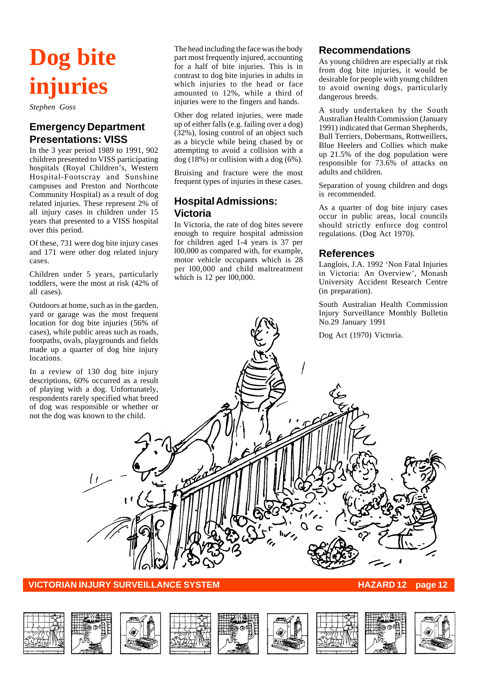# **Dog bite injuries**

*Stephen Goss*

# **Emergency Department Presentations: VISS**

In the 3 year period 1989 to 1991, 902 children presented to VISS participating hospitals (Royal Children's, Western Hospital-Footscray and Sunshine campuses and Preston and Northcote Community Hospital) as a result of dog related injuries. These represent 2% of all injury cases in children under 15 years that presented to a VISS hospital over this period.

Of these, 731 were dog bite injury cases and 171 were other dog related injury cases.

Children under 5 years, particularly toddlers, were the most at risk (42% of all cases).

Outdoors at home, such as in the garden, yard or garage was the most frequent location for dog bite injuries (56% of cases), while public areas such as roads, footpaths, ovals, playgrounds and fields made up a quarter of dog bite injury locations.

In a review of 130 dog bite injury descriptions, 60% occurred as a result of playing with a dog. Unfortunately, respondents rarely specified what breed of dog was responsible or whether or not the dog was known to the child.

The head including the face was the body part most frequently injured, accounting for a half of bite injuries. This is in contrast to dog bite injuries in adults in which injuries to the head or face amounted to 12%, while a third of injuries were to the fingers and hands.

Other dog related injuries, were made up of either falls (e.g. failing over a dog) (32%), losing control of an object such as a bicycle while being chased by or attempting to avoid a collision with a dog (18%) or collision with a dog (6%).

Bruising and fracture were the most frequent types of injuries in these cases.

# **Hospital Admissions: Victoria**

In Victoria, the rate of dog bites severe enough to require hospital admission for children aged 1-4 years is 37 per l00,000 as compared with, for example, motor vehicle occupants which is 28 per l00,000 and child maltreatment which is 12 per 100,000.

# **Recommendations**

As young children are especially at risk from dog bite injuries, it would be desirable for people with young children to avoid owning dogs, particularly dangerous breeds.

A study undertaken by the South Australian Health Commission (January 1991) indicated that German Shepherds, Bull Terriers, Dobermans, Rottweillers, Blue Heelers and Collies which make up 21.5% of the dog population were responsible for 73.6% of attacks on adults and children.

Separation of young children and dogs is recommended.

As a quarter of dog bite injury cases occur in public areas, local councils should strictly enforce dog control regulations. (Dog Act 1970).

# **References**

Langlois, J.A. 1992 'Non Fatal Injuries in Victoria: An Overview', Monash University Accident Research Centre (in preparation).

South Australian Health Commission Injury Surveillance Monthly Bulletin No.29 January 1991

Dog Act (1970) Victoria.

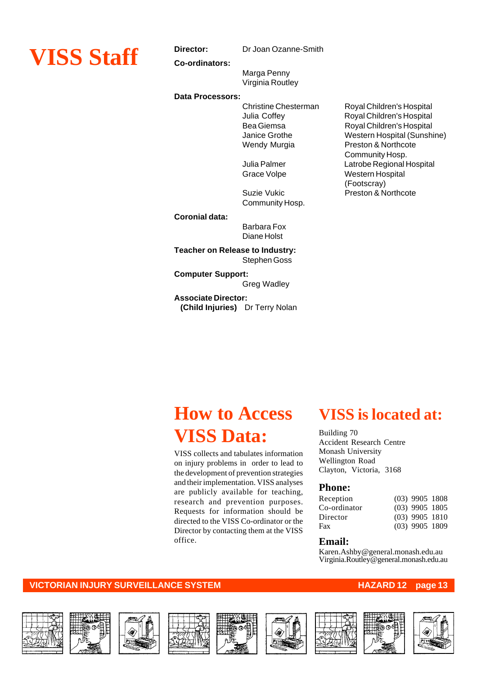

**Co-ordinators:**

Marga Penny Virginia Routley

#### **Data Processors:**

Community Hosp.

**Coronial data:**

Barbara Fox Diane Holst

**Teacher on Release to Industry:** Stephen Goss

**Computer Support:** Greg Wadley

**Associate Director: (Child Injuries)** Dr Terry Nolan

Christine Chesterman Royal Children's Hospital Julia Coffey Royal Children's Hospital Bea Giemsa Royal Children's Hospital Janice Grothe Western Hospital (Sunshine)<br>Wendy Murgia Preston & Northcote Preston & Northcote Community Hosp. Julia Palmer Latrobe Regional Hospital Grace Volpe Western Hospital (Footscray) Suzie Vukic **Preston & Northcote** 

# **How to Access VISS Data:**

VISS collects and tabulates information on injury problems in order to lead to the development of prevention strategies and their implementation. VISS analyses are publicly available for teaching, research and prevention purposes. Requests for information should be directed to the VISS Co-ordinator or the Director by contacting them at the VISS office.

# **VISS is located at:**

Building 70 Accident Research Centre Monash University Wellington Road Clayton, Victoria, 3168

### **Phone:**

| $(03)$ 9905 1808<br>$(03)$ 9905 1805<br>$(03)$ 9905 1810<br>$(03)$ 9905 1809 |
|------------------------------------------------------------------------------|

### **Email:**

Karen.Ashby@general.monash.edu.au Virginia.Routley@general.monash.edu.au















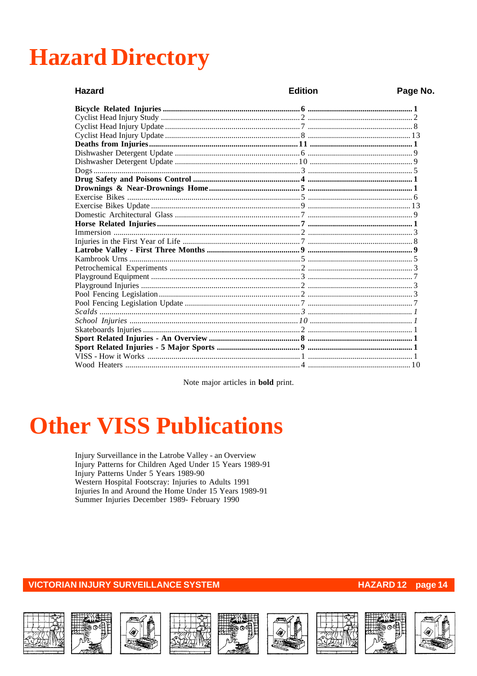# **Hazard Directory**

| <b>Hazard</b> | <b>Edition</b> | Page No. |
|---------------|----------------|----------|
|               |                |          |
|               |                |          |
|               |                |          |
|               |                |          |
|               |                |          |
|               |                |          |
|               |                |          |
|               |                |          |
|               |                |          |
|               |                |          |
|               |                |          |
|               |                |          |
|               |                |          |
|               |                |          |
|               |                |          |
|               |                |          |
|               |                |          |
|               |                |          |
|               |                |          |
|               |                |          |
|               |                |          |
|               |                |          |
|               |                |          |
|               |                |          |
|               |                |          |
|               |                |          |
|               |                |          |
|               |                |          |
|               |                |          |
|               |                |          |

Note major articles in **bold** print.

# **Other VISS Publications**

Injury Surveillance in the Latrobe Valley - an Overview Injury Patterns for Children Aged Under 15 Years 1989-91 Injury Patterns Under 5 Years 1989-90 Western Hospital Footscray: Injuries to Adults 1991 Injuries In and Around the Home Under 15 Years 1989-91 Summer Injuries December 1989- February 1990

**VICTORIAN INJURY SURVEILLANCE SYSTEM** 

















## HAZARD 12 page 14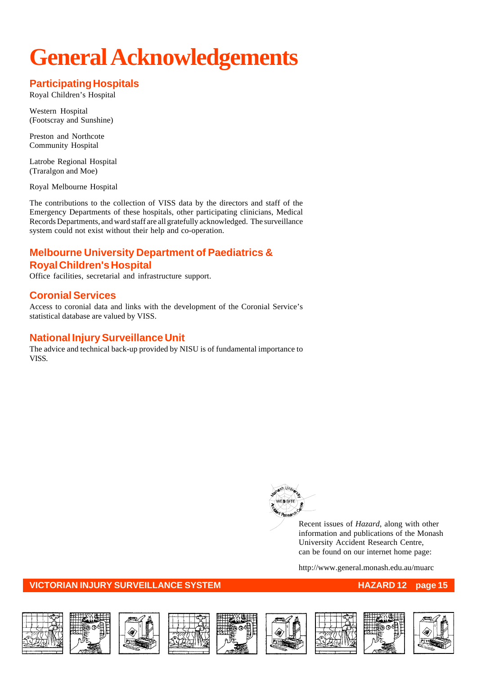# **General Acknowledgements**

# **Participating Hospitals**

Royal Children's Hospital

Western Hospital (Footscray and Sunshine)

Preston and Northcote Community Hospital

Latrobe Regional Hospital (Traralgon and Moe)

Royal Melbourne Hospital

The contributions to the collection of VISS data by the directors and staff of the Emergency Departments of these hospitals, other participating clinicians, Medical Records Departments, and ward staff are all gratefully acknowledged. The surveillance system could not exist without their help and co-operation.

# **Melbourne University Department of Paediatrics & Royal Children's Hospital**

Office facilities, secretarial and infrastructure support.

# **Coronial Services**

Access to coronial data and links with the development of the Coronial Service's statistical database are valued by VISS.

# **National Injury Surveillance Unit**

The advice and technical back-up provided by NISU is of fundamental importance to VISS.



Recent issues of *Hazard*, along with other information and publications of the Monash University Accident Research Centre, can be found on our internet home page:

http://www.general.monash.edu.au/muarc